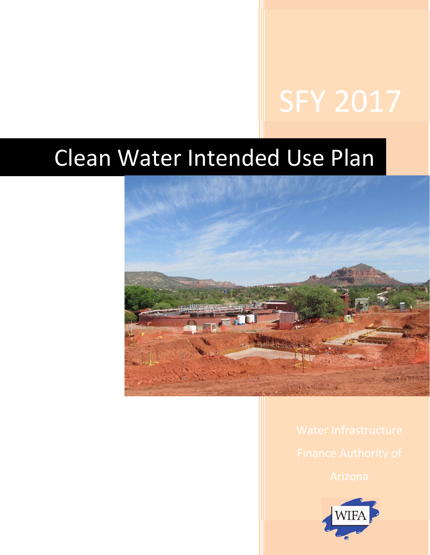# Clean Water Intended Use Plan



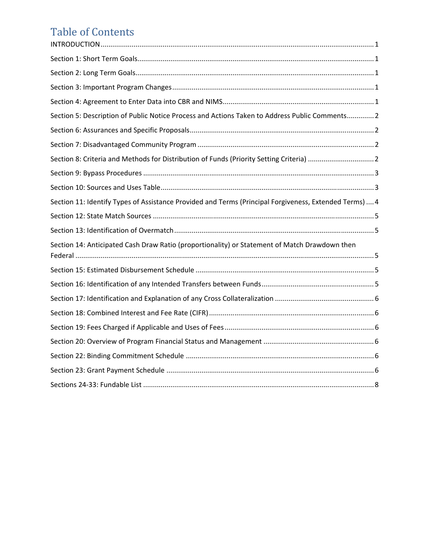## Table of Contents

| Section 5: Description of Public Notice Process and Actions Taken to Address Public Comments 2         |
|--------------------------------------------------------------------------------------------------------|
|                                                                                                        |
|                                                                                                        |
| Section 8: Criteria and Methods for Distribution of Funds (Priority Setting Criteria)  2               |
|                                                                                                        |
|                                                                                                        |
| Section 11: Identify Types of Assistance Provided and Terms (Principal Forgiveness, Extended Terms)  4 |
|                                                                                                        |
|                                                                                                        |
| Section 14: Anticipated Cash Draw Ratio (proportionality) or Statement of Match Drawdown then          |
|                                                                                                        |
|                                                                                                        |
|                                                                                                        |
|                                                                                                        |
|                                                                                                        |
|                                                                                                        |
|                                                                                                        |
|                                                                                                        |
|                                                                                                        |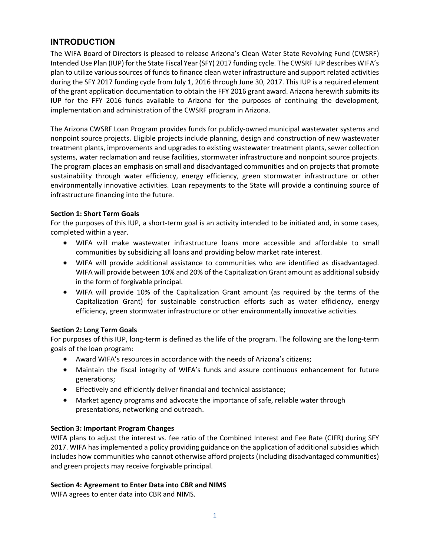### **INTRODUCTION**

The WIFA Board of Directors is pleased to release Arizona's Clean Water State Revolving Fund (CWSRF) Intended Use Plan (IUP) for the State Fiscal Year (SFY) 2017 funding cycle. The CWSRF IUP describes WIFA's plan to utilize various sources of funds to finance clean water infrastructure and support related activities during the SFY 2017 funding cycle from July 1, 2016 through June 30, 2017. This IUP is a required element of the grant application documentation to obtain the FFY 2016 grant award. Arizona herewith submits its IUP for the FFY 2016 funds available to Arizona for the purposes of continuing the development, implementation and administration of the CWSRF program in Arizona.

The Arizona CWSRF Loan Program provides funds for publicly‐owned municipal wastewater systems and nonpoint source projects. Eligible projects include planning, design and construction of new wastewater treatment plants, improvements and upgrades to existing wastewater treatment plants, sewer collection systems, water reclamation and reuse facilities, stormwater infrastructure and nonpoint source projects. The program places an emphasis on small and disadvantaged communities and on projects that promote sustainability through water efficiency, energy efficiency, green stormwater infrastructure or other environmentally innovative activities. Loan repayments to the State will provide a continuing source of infrastructure financing into the future.

#### **Section 1: Short Term Goals**

For the purposes of this IUP, a short-term goal is an activity intended to be initiated and, in some cases, completed within a year.

- WIFA will make wastewater infrastructure loans more accessible and affordable to small communities by subsidizing all loans and providing below market rate interest.
- WIFA will provide additional assistance to communities who are identified as disadvantaged. WIFA will provide between 10% and 20% of the Capitalization Grant amount as additional subsidy in the form of forgivable principal.
- WIFA will provide 10% of the Capitalization Grant amount (as required by the terms of the Capitalization Grant) for sustainable construction efforts such as water efficiency, energy efficiency, green stormwater infrastructure or other environmentally innovative activities.

#### **Section 2: Long Term Goals**

For purposes of this IUP, long-term is defined as the life of the program. The following are the long-term goals of the loan program:

- Award WIFA's resources in accordance with the needs of Arizona's citizens;
- Maintain the fiscal integrity of WIFA's funds and assure continuous enhancement for future generations;
- Effectively and efficiently deliver financial and technical assistance;
- Market agency programs and advocate the importance of safe, reliable water through presentations, networking and outreach.

#### **Section 3: Important Program Changes**

WIFA plans to adjust the interest vs. fee ratio of the Combined Interest and Fee Rate (CIFR) during SFY 2017. WIFA has implemented a policy providing guidance on the application of additional subsidies which includes how communities who cannot otherwise afford projects (including disadvantaged communities) and green projects may receive forgivable principal.

#### **Section 4: Agreement to Enter Data into CBR and NIMS**

WIFA agrees to enter data into CBR and NIMS.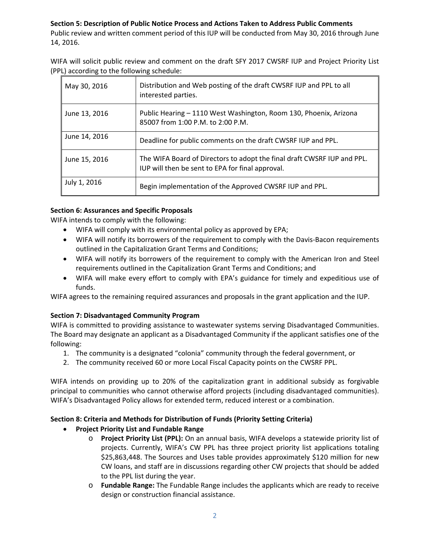#### **Section 5: Description of Public Notice Process and Actions Taken to Address Public Comments**

Public review and written comment period of this IUP will be conducted from May 30, 2016 through June 14, 2016.

WIFA will solicit public review and comment on the draft SFY 2017 CWSRF IUP and Project Priority List (PPL) according to the following schedule:

| May 30, 2016  | Distribution and Web posting of the draft CWSRF IUP and PPL to all<br>interested parties.                                   |
|---------------|-----------------------------------------------------------------------------------------------------------------------------|
| June 13, 2016 | Public Hearing - 1110 West Washington, Room 130, Phoenix, Arizona<br>85007 from 1:00 P.M. to 2:00 P.M.                      |
| June 14, 2016 | Deadline for public comments on the draft CWSRF IUP and PPL.                                                                |
| June 15, 2016 | The WIFA Board of Directors to adopt the final draft CWSRF IUP and PPL.<br>IUP will then be sent to EPA for final approval. |
| July 1, 2016  | Begin implementation of the Approved CWSRF IUP and PPL.                                                                     |

#### **Section 6: Assurances and Specific Proposals**

WIFA intends to comply with the following:

- WIFA will comply with its environmental policy as approved by EPA;
- WIFA will notify its borrowers of the requirement to comply with the Davis-Bacon requirements outlined in the Capitalization Grant Terms and Conditions;
- WIFA will notify its borrowers of the requirement to comply with the American Iron and Steel requirements outlined in the Capitalization Grant Terms and Conditions; and
- WIFA will make every effort to comply with EPA's guidance for timely and expeditious use of funds.

WIFA agrees to the remaining required assurances and proposals in the grant application and the IUP.

#### **Section 7: Disadvantaged Community Program**

WIFA is committed to providing assistance to wastewater systems serving Disadvantaged Communities. The Board may designate an applicant as a Disadvantaged Community if the applicant satisfies one of the following:

- 1. The community is a designated "colonia" community through the federal government, or
- 2. The community received 60 or more Local Fiscal Capacity points on the CWSRF PPL.

WIFA intends on providing up to 20% of the capitalization grant in additional subsidy as forgivable principal to communities who cannot otherwise afford projects (including disadvantaged communities). WIFA's Disadvantaged Policy allows for extended term, reduced interest or a combination.

#### **Section 8: Criteria and Methods for Distribution of Funds (Priority Setting Criteria)**

#### **Project Priority List and Fundable Range**

- o **Project Priority List (PPL):** On an annual basis, WIFA develops a statewide priority list of projects. Currently, WIFA's CW PPL has three project priority list applications totaling \$25,863,448. The Sources and Uses table provides approximately \$120 million for new CW loans, and staff are in discussions regarding other CW projects that should be added to the PPL list during the year.
- o **Fundable Range:** The Fundable Range includes the applicants which are ready to receive design or construction financial assistance.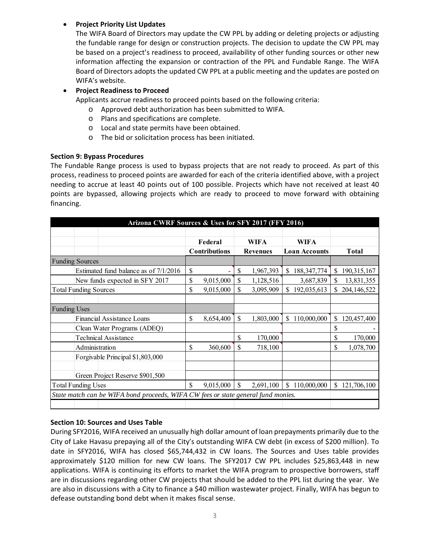#### **Project Priority List Updates**

The WIFA Board of Directors may update the CW PPL by adding or deleting projects or adjusting the fundable range for design or construction projects. The decision to update the CW PPL may be based on a project's readiness to proceed, availability of other funding sources or other new information affecting the expansion or contraction of the PPL and Fundable Range. The WIFA Board of Directors adopts the updated CW PPL at a public meeting and the updates are posted on WIFA's website.

#### **Project Readiness to Proceed**

Applicants accrue readiness to proceed points based on the following criteria:

- o Approved debt authorization has been submitted to WIFA.
- o Plans and specifications are complete.
- o Local and state permits have been obtained.
- o The bid or solicitation process has been initiated.

#### **Section 9: Bypass Procedures**

The Fundable Range process is used to bypass projects that are not ready to proceed. As part of this process, readiness to proceed points are awarded for each of the criteria identified above, with a project needing to accrue at least 40 points out of 100 possible. Projects which have not received at least 40 points are bypassed, allowing projects which are ready to proceed to move forward with obtaining financing.

| Arizona CWRF Sources & Uses for SFY 2017 (FFY 2016)                               |    |                      |                 |             |                      |               |              |               |
|-----------------------------------------------------------------------------------|----|----------------------|-----------------|-------------|----------------------|---------------|--------------|---------------|
|                                                                                   |    |                      |                 |             |                      |               |              |               |
|                                                                                   |    | Federal              |                 | <b>WIFA</b> |                      | <b>WIFA</b>   |              |               |
|                                                                                   |    | <b>Contributions</b> | <b>Revenues</b> |             | <b>Loan Accounts</b> |               | <b>Total</b> |               |
| <b>Funding Sources</b>                                                            |    |                      |                 |             |                      |               |              |               |
| Estimated fund balance as of 7/1/2016                                             | \$ |                      | \$              | 1,967,393   | \$                   | 188, 347, 774 | \$           | 190, 315, 167 |
| New funds expected in SFY 2017                                                    | \$ | 9,015,000            | \$              | 1,128,516   |                      | 3,687,839     | \$           | 13,831,355    |
| <b>Total Funding Sources</b>                                                      | \$ | 9,015,000            | \$              | 3,095,909   | \$                   | 192,035,613   | \$           | 204,146,522   |
|                                                                                   |    |                      |                 |             |                      |               |              |               |
| <b>Funding Uses</b>                                                               |    |                      |                 |             |                      |               |              |               |
| Financial Assistance Loans                                                        |    | 8,654,400            | \$              | 1,803,000   | \$                   | 110,000,000   | \$           | 120,457,400   |
| Clean Water Programs (ADEQ)                                                       |    |                      |                 |             |                      |               | \$           |               |
| Technical Assistance                                                              |    |                      | \$              | 170,000     |                      |               | \$           | 170,000       |
| Administration                                                                    |    | 360,600              | \$              | 718,100     |                      |               | \$           | 1,078,700     |
| Forgivable Principal \$1,803,000                                                  |    |                      |                 |             |                      |               |              |               |
|                                                                                   |    |                      |                 |             |                      |               |              |               |
| Green Project Reserve \$901,500                                                   |    |                      |                 |             |                      |               |              |               |
| <b>Total Funding Uses</b>                                                         |    | 9,015,000            | \$              | 2,691,100   | \$                   | 110,000,000   | \$.          | 121,706,100   |
| State match can be WIFA bond proceeds, WIFA CW fees or state general fund monies. |    |                      |                 |             |                      |               |              |               |
|                                                                                   |    |                      |                 |             |                      |               |              |               |

#### **Section 10: Sources and Uses Table**

During SFY2016, WIFA received an unusually high dollar amount of loan prepayments primarily due to the City of Lake Havasu prepaying all of the City's outstanding WIFA CW debt (in excess of \$200 million). To date in SFY2016, WIFA has closed \$65,744,432 in CW loans. The Sources and Uses table provides approximately \$120 million for new CW loans. The SFY2017 CW PPL includes \$25,863,448 in new applications. WIFA is continuing its efforts to market the WIFA program to prospective borrowers, staff are in discussions regarding other CW projects that should be added to the PPL list during the year. We are also in discussions with a City to finance a \$40 million wastewater project. Finally, WIFA has begun to defease outstanding bond debt when it makes fiscal sense.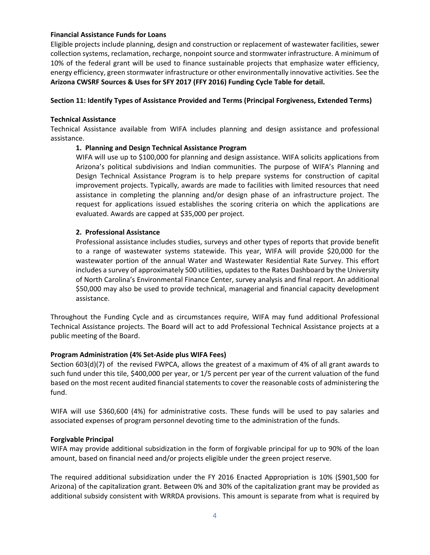#### **Financial Assistance Funds for Loans**

Eligible projects include planning, design and construction or replacement of wastewater facilities, sewer collection systems, reclamation, recharge, nonpoint source and stormwater infrastructure. A minimum of 10% of the federal grant will be used to finance sustainable projects that emphasize water efficiency, energy efficiency, green stormwater infrastructure or other environmentally innovative activities. See the **Arizona CWSRF Sources & Uses for SFY 2017 (FFY 2016) Funding Cycle Table for detail.** 

#### **Section 11: Identify Types of Assistance Provided and Terms (Principal Forgiveness, Extended Terms)**

#### **Technical Assistance**

Technical Assistance available from WIFA includes planning and design assistance and professional assistance.

#### **1. Planning and Design Technical Assistance Program**

WIFA will use up to \$100,000 for planning and design assistance. WIFA solicits applications from Arizona's political subdivisions and Indian communities. The purpose of WIFA's Planning and Design Technical Assistance Program is to help prepare systems for construction of capital improvement projects. Typically, awards are made to facilities with limited resources that need assistance in completing the planning and/or design phase of an infrastructure project. The request for applications issued establishes the scoring criteria on which the applications are evaluated. Awards are capped at \$35,000 per project.

#### **2. Professional Assistance**

Professional assistance includes studies, surveys and other types of reports that provide benefit to a range of wastewater systems statewide. This year, WIFA will provide \$20,000 for the wastewater portion of the annual Water and Wastewater Residential Rate Survey. This effort includes a survey of approximately 500 utilities, updates to the Rates Dashboard by the University of North Carolina's Environmental Finance Center, survey analysis and final report. An additional \$50,000 may also be used to provide technical, managerial and financial capacity development assistance.

Throughout the Funding Cycle and as circumstances require, WIFA may fund additional Professional Technical Assistance projects. The Board will act to add Professional Technical Assistance projects at a public meeting of the Board.

#### **Program Administration (4% Set‐Aside plus WIFA Fees)**

Section 603(d)(7) of the revised FWPCA, allows the greatest of a maximum of 4% of all grant awards to such fund under this tile, \$400,000 per year, or 1/5 percent per year of the current valuation of the fund based on the most recent audited financial statements to cover the reasonable costs of administering the fund.

WIFA will use \$360,600 (4%) for administrative costs. These funds will be used to pay salaries and associated expenses of program personnel devoting time to the administration of the funds.

#### **Forgivable Principal**

WIFA may provide additional subsidization in the form of forgivable principal for up to 90% of the loan amount, based on financial need and/or projects eligible under the green project reserve.

The required additional subsidization under the FY 2016 Enacted Appropriation is 10% (\$901,500 for Arizona) of the capitalization grant. Between 0% and 30% of the capitalization grant may be provided as additional subsidy consistent with WRRDA provisions. This amount is separate from what is required by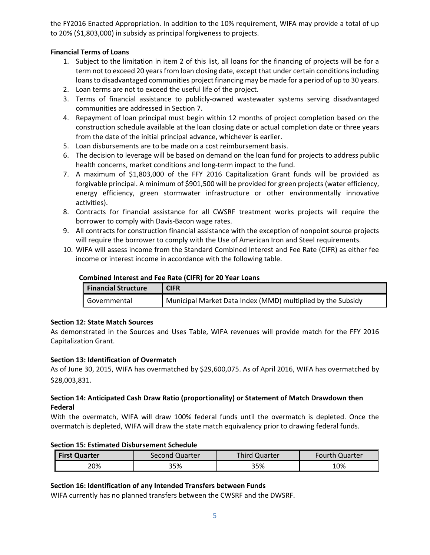the FY2016 Enacted Appropriation. In addition to the 10% requirement, WIFA may provide a total of up to 20% (\$1,803,000) in subsidy as principal forgiveness to projects.

#### **Financial Terms of Loans**

- 1. Subject to the limitation in item 2 of this list, all loans for the financing of projects will be for a term not to exceed 20 years from loan closing date, except that under certain conditions including loans to disadvantaged communities project financing may be made for a period of up to 30 years.
- 2. Loan terms are not to exceed the useful life of the project.
- 3. Terms of financial assistance to publicly‐owned wastewater systems serving disadvantaged communities are addressed in Section 7.
- 4. Repayment of loan principal must begin within 12 months of project completion based on the construction schedule available at the loan closing date or actual completion date or three years from the date of the initial principal advance, whichever is earlier.
- 5. Loan disbursements are to be made on a cost reimbursement basis.
- 6. The decision to leverage will be based on demand on the loan fund for projects to address public health concerns, market conditions and long-term impact to the fund.
- 7. A maximum of \$1,803,000 of the FFY 2016 Capitalization Grant funds will be provided as forgivable principal. A minimum of \$901,500 will be provided for green projects (water efficiency, energy efficiency, green stormwater infrastructure or other environmentally innovative activities).
- 8. Contracts for financial assistance for all CWSRF treatment works projects will require the borrower to comply with Davis‐Bacon wage rates.
- 9. All contracts for construction financial assistance with the exception of nonpoint source projects will require the borrower to comply with the Use of American Iron and Steel requirements.
- 10. WIFA will assess income from the Standard Combined Interest and Fee Rate (CIFR) as either fee income or interest income in accordance with the following table.

| COMMUNICATIVE COLUMN LEE NULL (CITIN) TOT ED TEAT EDUING |                                                             |  |  |  |  |  |
|----------------------------------------------------------|-------------------------------------------------------------|--|--|--|--|--|
| <b>Financial Structure</b>                               | <b>CIFR</b>                                                 |  |  |  |  |  |
| I Governmental                                           | Municipal Market Data Index (MMD) multiplied by the Subsidy |  |  |  |  |  |

#### **Combined Interest and Fee Rate (CIFR) for 20 Year Loans**

#### **Section 12: State Match Sources**

As demonstrated in the Sources and Uses Table, WIFA revenues will provide match for the FFY 2016 Capitalization Grant.

#### **Section 13: Identification of Overmatch**

As of June 30, 2015, WIFA has overmatched by \$29,600,075. As of April 2016, WIFA has overmatched by \$28,003,831.

#### **Section 14: Anticipated Cash Draw Ratio (proportionality) or Statement of Match Drawdown then Federal**

With the overmatch, WIFA will draw 100% federal funds until the overmatch is depleted. Once the overmatch is depleted, WIFA will draw the state match equivalency prior to drawing federal funds.

#### **Section 15: Estimated Disbursement Schedule**

| <b>First Quarter</b> | Second Quarter | Third Quarter | <b>Fourth Quarter</b> |  |  |
|----------------------|----------------|---------------|-----------------------|--|--|
| 20%                  | 35%            | 35%           | 10%                   |  |  |

#### **Section 16: Identification of any Intended Transfers between Funds**

WIFA currently has no planned transfers between the CWSRF and the DWSRF.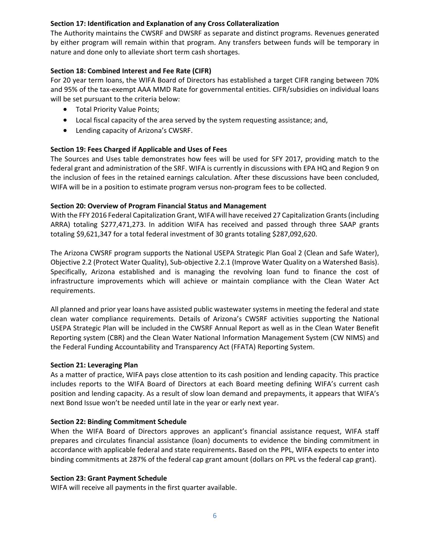#### **Section 17: Identification and Explanation of any Cross Collateralization**

The Authority maintains the CWSRF and DWSRF as separate and distinct programs. Revenues generated by either program will remain within that program. Any transfers between funds will be temporary in nature and done only to alleviate short term cash shortages.

#### **Section 18: Combined Interest and Fee Rate (CIFR)**

For 20 year term loans, the WIFA Board of Directors has established a target CIFR ranging between 70% and 95% of the tax‐exempt AAA MMD Rate for governmental entities. CIFR/subsidies on individual loans will be set pursuant to the criteria below:

- **•** Total Priority Value Points;
- Local fiscal capacity of the area served by the system requesting assistance; and,
- Lending capacity of Arizona's CWSRF.

#### **Section 19: Fees Charged if Applicable and Uses of Fees**

The Sources and Uses table demonstrates how fees will be used for SFY 2017, providing match to the federal grant and administration of the SRF. WIFA is currently in discussions with EPA HQ and Region 9 on the inclusion of fees in the retained earnings calculation. After these discussions have been concluded, WIFA will be in a position to estimate program versus non-program fees to be collected.

#### **Section 20: Overview of Program Financial Status and Management**

With the FFY 2016 Federal Capitalization Grant, WIFA will have received 27 Capitalization Grants (including ARRA) totaling \$277,471,273. In addition WIFA has received and passed through three SAAP grants totaling \$9,621,347 for a total federal investment of 30 grants totaling \$287,092,620.

The Arizona CWSRF program supports the National USEPA Strategic Plan Goal 2 (Clean and Safe Water), Objective 2.2 (Protect Water Quality), Sub‐objective 2.2.1 (Improve Water Quality on a Watershed Basis). Specifically, Arizona established and is managing the revolving loan fund to finance the cost of infrastructure improvements which will achieve or maintain compliance with the Clean Water Act requirements.

All planned and prior year loans have assisted public wastewater systems in meeting the federal and state clean water compliance requirements. Details of Arizona's CWSRF activities supporting the National USEPA Strategic Plan will be included in the CWSRF Annual Report as well as in the Clean Water Benefit Reporting system (CBR) and the Clean Water National Information Management System (CW NIMS) and the Federal Funding Accountability and Transparency Act (FFATA) Reporting System.

#### **Section 21: Leveraging Plan**

As a matter of practice, WIFA pays close attention to its cash position and lending capacity. This practice includes reports to the WIFA Board of Directors at each Board meeting defining WIFA's current cash position and lending capacity. As a result of slow loan demand and prepayments, it appears that WIFA's next Bond Issue won't be needed until late in the year or early next year.

#### **Section 22: Binding Commitment Schedule**

When the WIFA Board of Directors approves an applicant's financial assistance request, WIFA staff prepares and circulates financial assistance (loan) documents to evidence the binding commitment in accordance with applicable federal and state requirements**.** Based on the PPL, WIFA expects to enter into binding commitments at 287% of the federal cap grant amount (dollars on PPL vs the federal cap grant).

#### **Section 23: Grant Payment Schedule**

WIFA will receive all payments in the first quarter available.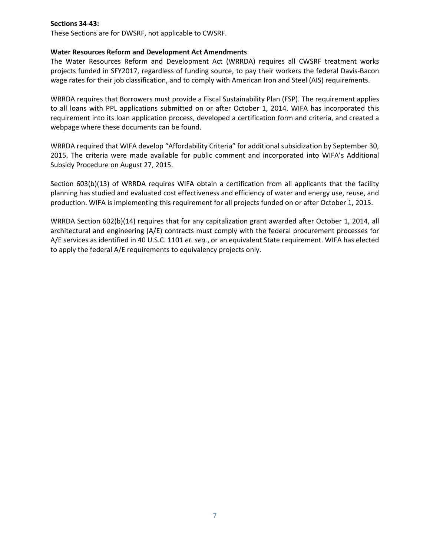#### **Sections 34‐43:**

These Sections are for DWSRF, not applicable to CWSRF.

#### **Water Resources Reform and Development Act Amendments**

The Water Resources Reform and Development Act (WRRDA) requires all CWSRF treatment works projects funded in SFY2017, regardless of funding source, to pay their workers the federal Davis‐Bacon wage rates for their job classification, and to comply with American Iron and Steel (AIS) requirements.

WRRDA requires that Borrowers must provide a Fiscal Sustainability Plan (FSP). The requirement applies to all loans with PPL applications submitted on or after October 1, 2014. WIFA has incorporated this requirement into its loan application process, developed a certification form and criteria, and created a webpage where these documents can be found.

WRRDA required that WIFA develop "Affordability Criteria" for additional subsidization by September 30, 2015. The criteria were made available for public comment and incorporated into WIFA's Additional Subsidy Procedure on August 27, 2015.

Section 603(b)(13) of WRRDA requires WIFA obtain a certification from all applicants that the facility planning has studied and evaluated cost effectiveness and efficiency of water and energy use, reuse, and production. WIFA is implementing this requirement for all projects funded on or after October 1, 2015.

WRRDA Section 602(b)(14) requires that for any capitalization grant awarded after October 1, 2014, all architectural and engineering (A/E) contracts must comply with the federal procurement processes for A/E services as identified in 40 U.S.C. 1101 *et. seq.*, or an equivalent State requirement. WIFA has elected to apply the federal A/E requirements to equivalency projects only.